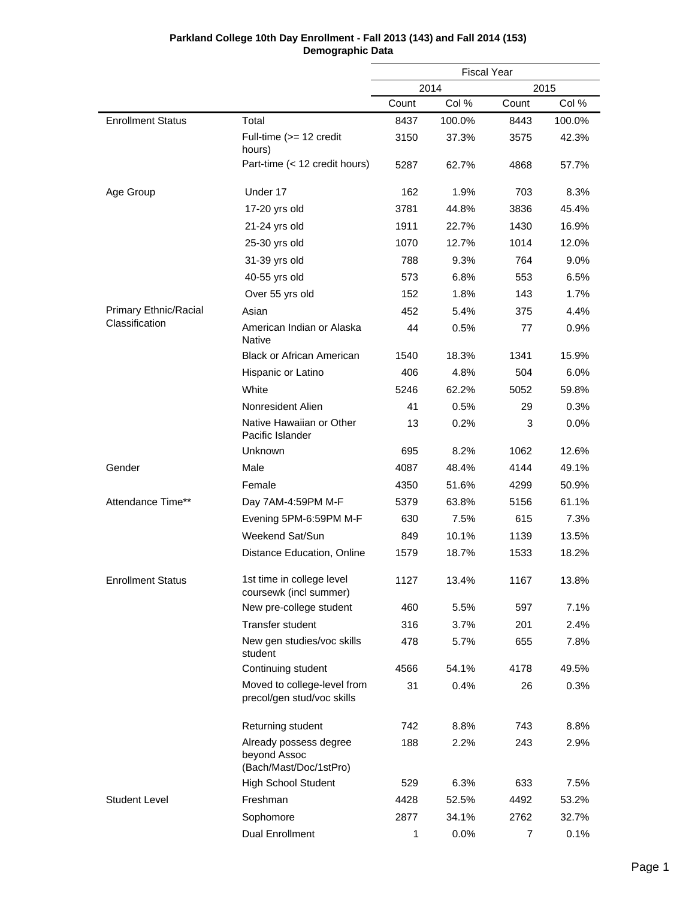|                          |                                                                  |       | <b>Fiscal Year</b> |       |        |  |
|--------------------------|------------------------------------------------------------------|-------|--------------------|-------|--------|--|
|                          |                                                                  |       | 2014               |       | 2015   |  |
|                          |                                                                  | Count | Col %              | Count | Col %  |  |
| <b>Enrollment Status</b> | Total                                                            | 8437  | 100.0%             | 8443  | 100.0% |  |
|                          | Full-time (>= 12 credit<br>hours)                                | 3150  | 37.3%              | 3575  | 42.3%  |  |
|                          | Part-time (< 12 credit hours)                                    | 5287  | 62.7%              | 4868  | 57.7%  |  |
| Age Group                | Under 17                                                         | 162   | 1.9%               | 703   | 8.3%   |  |
|                          | 17-20 yrs old                                                    | 3781  | 44.8%              | 3836  | 45.4%  |  |
|                          | 21-24 yrs old                                                    | 1911  | 22.7%              | 1430  | 16.9%  |  |
|                          | 25-30 yrs old                                                    | 1070  | 12.7%              | 1014  | 12.0%  |  |
|                          | 31-39 yrs old                                                    | 788   | 9.3%               | 764   | 9.0%   |  |
|                          | 40-55 yrs old                                                    | 573   | 6.8%               | 553   | 6.5%   |  |
|                          | Over 55 yrs old                                                  | 152   | 1.8%               | 143   | 1.7%   |  |
| Primary Ethnic/Racial    | Asian                                                            | 452   | 5.4%               | 375   | 4.4%   |  |
| Classification           | American Indian or Alaska<br>Native                              | 44    | 0.5%               | 77    | 0.9%   |  |
|                          | <b>Black or African American</b>                                 | 1540  | 18.3%              | 1341  | 15.9%  |  |
|                          | Hispanic or Latino                                               | 406   | 4.8%               | 504   | 6.0%   |  |
|                          | White                                                            | 5246  | 62.2%              | 5052  | 59.8%  |  |
|                          | Nonresident Alien                                                | 41    | 0.5%               | 29    | 0.3%   |  |
|                          | Native Hawaiian or Other<br>Pacific Islander                     | 13    | 0.2%               | 3     | 0.0%   |  |
|                          | Unknown                                                          | 695   | 8.2%               | 1062  | 12.6%  |  |
| Gender                   | Male                                                             | 4087  | 48.4%              | 4144  | 49.1%  |  |
|                          | Female                                                           | 4350  | 51.6%              | 4299  | 50.9%  |  |
| Attendance Time**        | Day 7AM-4:59PM M-F                                               | 5379  | 63.8%              | 5156  | 61.1%  |  |
|                          | Evening 5PM-6:59PM M-F                                           | 630   | 7.5%               | 615   | 7.3%   |  |
|                          | Weekend Sat/Sun                                                  | 849   | 10.1%              | 1139  | 13.5%  |  |
|                          | Distance Education, Online                                       | 1579  | 18.7%              | 1533  | 18.2%  |  |
| <b>Enrollment Status</b> | 1st time in college level<br>coursewk (incl summer)              | 1127  | 13.4%              | 1167  | 13.8%  |  |
|                          | New pre-college student                                          | 460   | 5.5%               | 597   | 7.1%   |  |
|                          | Transfer student                                                 | 316   | 3.7%               | 201   | 2.4%   |  |
|                          | New gen studies/voc skills<br>student                            | 478   | 5.7%               | 655   | 7.8%   |  |
|                          | Continuing student                                               | 4566  | 54.1%              | 4178  | 49.5%  |  |
|                          | Moved to college-level from<br>precol/gen stud/voc skills        | 31    | 0.4%               | 26    | 0.3%   |  |
|                          | Returning student                                                | 742   | 8.8%               | 743   | 8.8%   |  |
|                          | Already possess degree<br>beyond Assoc<br>(Bach/Mast/Doc/1stPro) | 188   | 2.2%               | 243   | 2.9%   |  |
|                          | <b>High School Student</b>                                       | 529   | 6.3%               | 633   | 7.5%   |  |
| <b>Student Level</b>     | Freshman                                                         | 4428  | 52.5%              | 4492  | 53.2%  |  |
|                          | Sophomore                                                        | 2877  | 34.1%              | 2762  | 32.7%  |  |
|                          | <b>Dual Enrollment</b>                                           | 1     | 0.0%               | 7     | 0.1%   |  |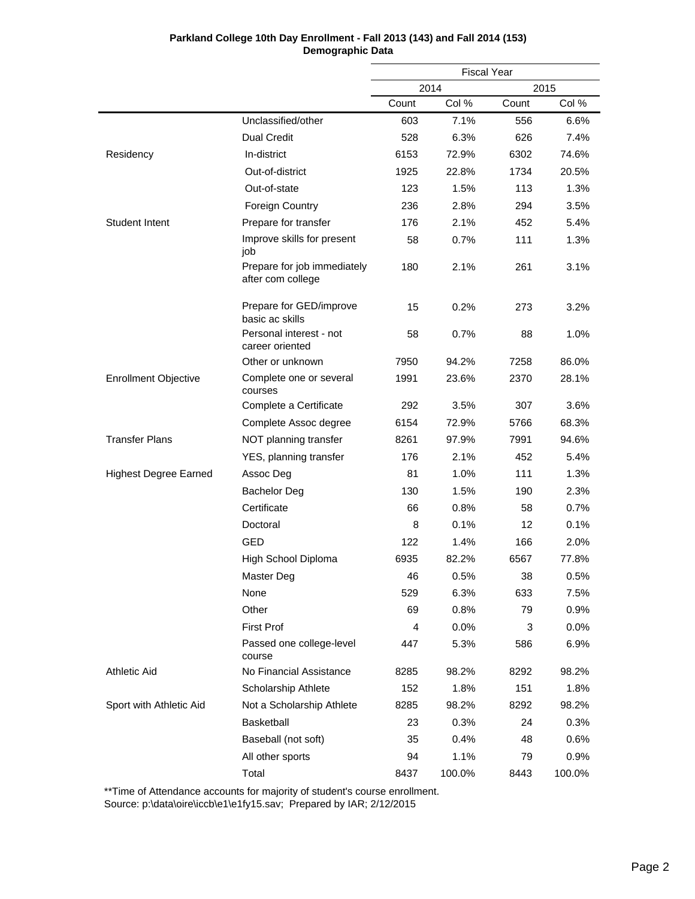| Parkland College 10th Day Enrollment - Fall 2013 (143) and Fall 2014 (153) |
|----------------------------------------------------------------------------|
| Demographic Data                                                           |

|                              |                                                  |       | <b>Fiscal Year</b> |       |        |
|------------------------------|--------------------------------------------------|-------|--------------------|-------|--------|
|                              |                                                  |       | 2014<br>2015       |       |        |
|                              |                                                  | Count | Col %              | Count | Col %  |
|                              | Unclassified/other                               | 603   | 7.1%               | 556   | 6.6%   |
|                              | <b>Dual Credit</b>                               | 528   | 6.3%               | 626   | 7.4%   |
| Residency                    | In-district                                      | 6153  | 72.9%              | 6302  | 74.6%  |
|                              | Out-of-district                                  | 1925  | 22.8%              | 1734  | 20.5%  |
|                              | Out-of-state                                     | 123   | 1.5%               | 113   | 1.3%   |
|                              | <b>Foreign Country</b>                           | 236   | 2.8%               | 294   | 3.5%   |
| <b>Student Intent</b>        | Prepare for transfer                             | 176   | 2.1%               | 452   | 5.4%   |
|                              | Improve skills for present<br>job                | 58    | 0.7%               | 111   | 1.3%   |
|                              | Prepare for job immediately<br>after com college | 180   | 2.1%               | 261   | 3.1%   |
|                              | Prepare for GED/improve<br>basic ac skills       | 15    | 0.2%               | 273   | 3.2%   |
|                              | Personal interest - not<br>career oriented       | 58    | 0.7%               | 88    | 1.0%   |
|                              | Other or unknown                                 | 7950  | 94.2%              | 7258  | 86.0%  |
| <b>Enrollment Objective</b>  | Complete one or several<br>courses               | 1991  | 23.6%              | 2370  | 28.1%  |
|                              | Complete a Certificate                           | 292   | 3.5%               | 307   | 3.6%   |
|                              | Complete Assoc degree                            | 6154  | 72.9%              | 5766  | 68.3%  |
| <b>Transfer Plans</b>        | NOT planning transfer                            | 8261  | 97.9%              | 7991  | 94.6%  |
|                              | YES, planning transfer                           | 176   | 2.1%               | 452   | 5.4%   |
| <b>Highest Degree Earned</b> | Assoc Deg                                        | 81    | 1.0%               | 111   | 1.3%   |
|                              | <b>Bachelor Deg</b>                              | 130   | 1.5%               | 190   | 2.3%   |
|                              | Certificate                                      | 66    | 0.8%               | 58    | 0.7%   |
|                              | Doctoral                                         | 8     | 0.1%               | 12    | 0.1%   |
|                              | <b>GED</b>                                       | 122   | 1.4%               | 166   | 2.0%   |
|                              | High School Diploma                              | 6935  | 82.2%              | 6567  | 77.8%  |
|                              | Master Deg                                       | 46    | 0.5%               | 38    | 0.5%   |
|                              | None                                             | 529   | 6.3%               | 633   | 7.5%   |
|                              | Other                                            | 69    | 0.8%               | 79    | 0.9%   |
|                              | <b>First Prof</b>                                | 4     | 0.0%               | 3     | 0.0%   |
|                              | Passed one college-level<br>course               | 447   | 5.3%               | 586   | 6.9%   |
| Athletic Aid                 | No Financial Assistance                          | 8285  | 98.2%              | 8292  | 98.2%  |
|                              | Scholarship Athlete                              | 152   | 1.8%               | 151   | 1.8%   |
| Sport with Athletic Aid      | Not a Scholarship Athlete                        | 8285  | 98.2%              | 8292  | 98.2%  |
|                              | Basketball                                       | 23    | 0.3%               | 24    | 0.3%   |
|                              | Baseball (not soft)                              | 35    | 0.4%               | 48    | 0.6%   |
|                              | All other sports                                 | 94    | 1.1%               | 79    | 0.9%   |
|                              | Total                                            | 8437  | 100.0%             | 8443  | 100.0% |

\*\*Time of Attendance accounts for majority of student's course enrollment.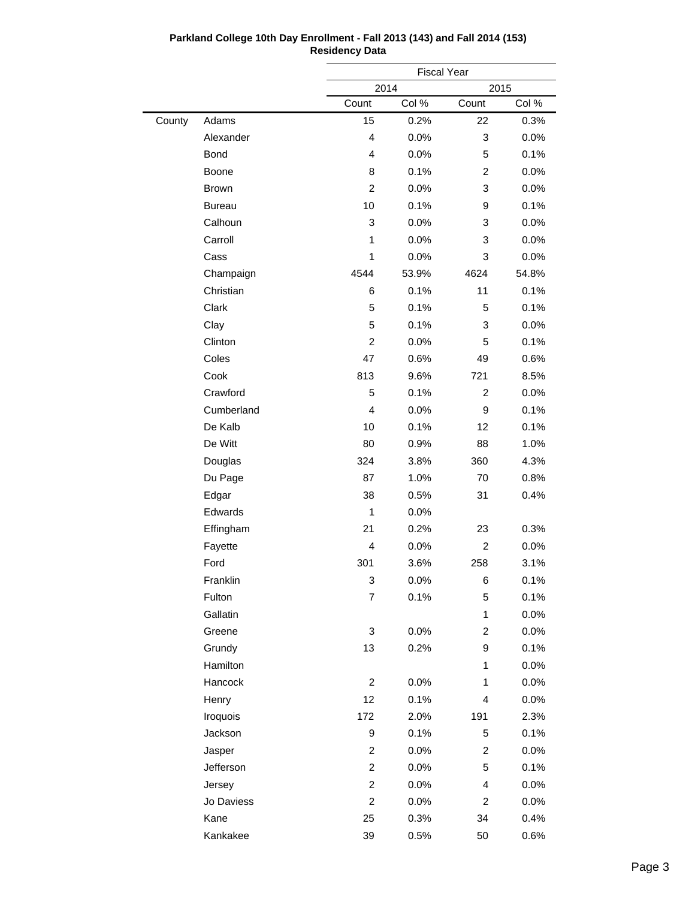|        |               | <b>Fiscal Year</b>      |         |                         |         |  |
|--------|---------------|-------------------------|---------|-------------------------|---------|--|
|        |               | 2014                    |         | 2015                    |         |  |
|        |               | Count                   | Col %   | Count<br>Col %          |         |  |
| County | Adams         | 15                      | 0.2%    | 22                      | 0.3%    |  |
|        | Alexander     | 4                       | 0.0%    | 3                       | 0.0%    |  |
|        | Bond          | 4                       | 0.0%    | 5                       | 0.1%    |  |
|        | Boone         | 8                       | 0.1%    | 2                       | 0.0%    |  |
|        | <b>Brown</b>  | $\overline{c}$          | 0.0%    | 3                       | 0.0%    |  |
|        | <b>Bureau</b> | 10                      | 0.1%    | 9                       | 0.1%    |  |
|        | Calhoun       | 3                       | 0.0%    | 3                       | 0.0%    |  |
|        | Carroll       | $\mathbf{1}$            | 0.0%    | 3                       | 0.0%    |  |
|        | Cass          | 1                       | 0.0%    | 3                       | 0.0%    |  |
|        | Champaign     | 4544                    | 53.9%   | 4624                    | 54.8%   |  |
|        | Christian     | 6                       | 0.1%    | 11                      | 0.1%    |  |
|        | Clark         | 5                       | 0.1%    | 5                       | 0.1%    |  |
|        | Clay          | 5                       | 0.1%    | 3                       | 0.0%    |  |
|        | Clinton       | $\overline{c}$          | 0.0%    | 5                       | 0.1%    |  |
|        | Coles         | 47                      | 0.6%    | 49                      | 0.6%    |  |
|        | Cook          | 813                     | 9.6%    | 721                     | 8.5%    |  |
|        | Crawford      | 5                       | 0.1%    | $\overline{c}$          | 0.0%    |  |
|        | Cumberland    | 4                       | 0.0%    | 9                       | 0.1%    |  |
|        | De Kalb       | 10                      | 0.1%    | 12                      | 0.1%    |  |
|        | De Witt       | 80                      | 0.9%    | 88                      | 1.0%    |  |
|        | Douglas       | 324                     | 3.8%    | 360                     | 4.3%    |  |
|        | Du Page       | 87                      | 1.0%    | 70                      | 0.8%    |  |
|        | Edgar         | 38                      | 0.5%    | 31                      | 0.4%    |  |
|        | Edwards       | 1                       | 0.0%    |                         |         |  |
|        | Effingham     | 21                      | 0.2%    | 23                      | 0.3%    |  |
|        | Fayette       | $\overline{4}$          | 0.0%    | $\overline{2}$          | 0.0%    |  |
|        | Ford          | 301                     | 3.6%    | 258                     | 3.1%    |  |
|        | Franklin      | 3                       | 0.0%    | 6                       | 0.1%    |  |
|        | Fulton        | 7                       | 0.1%    | 5                       | 0.1%    |  |
|        | Gallatin      |                         |         | 1                       | $0.0\%$ |  |
|        | Greene        | 3                       | 0.0%    | $\overline{\mathbf{c}}$ | 0.0%    |  |
|        | Grundy        | 13                      | 0.2%    | 9                       | 0.1%    |  |
|        | Hamilton      |                         |         | 1                       | 0.0%    |  |
|        | Hancock       | $\overline{c}$          | 0.0%    | 1                       | $0.0\%$ |  |
|        | Henry         | 12                      | 0.1%    | 4                       | 0.0%    |  |
|        | Iroquois      | 172                     | 2.0%    | 191                     | 2.3%    |  |
|        | Jackson       | 9                       | 0.1%    | 5                       | 0.1%    |  |
|        | Jasper        | $\overline{\mathbf{c}}$ | $0.0\%$ | $\overline{\mathbf{c}}$ | 0.0%    |  |
|        | Jefferson     | $\overline{c}$          | 0.0%    | 5                       | 0.1%    |  |
|        | Jersey        | $\overline{c}$          | 0.0%    | 4                       | 0.0%    |  |
|        | Jo Daviess    | $\overline{c}$          | 0.0%    | 2                       | 0.0%    |  |
|        | Kane          | 25                      | 0.3%    | 34                      | 0.4%    |  |
|        | Kankakee      | 39                      | 0.5%    | 50                      | 0.6%    |  |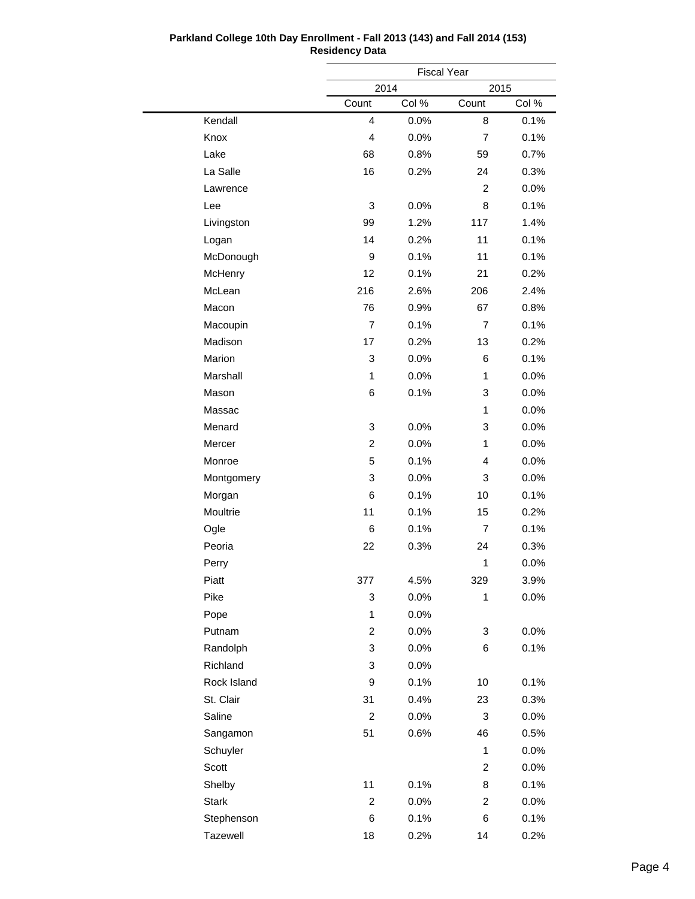|              |                         | <b>Fiscal Year</b> |                         |       |
|--------------|-------------------------|--------------------|-------------------------|-------|
|              | 2014                    |                    | 2015                    |       |
|              | Count                   | Col %              | Count                   | Col % |
| Kendall      | 4                       | 0.0%               | 8                       | 0.1%  |
| Knox         | 4                       | 0.0%               | $\overline{7}$          | 0.1%  |
| Lake         | 68                      | 0.8%               | 59                      | 0.7%  |
| La Salle     | 16                      | 0.2%               | 24                      | 0.3%  |
| Lawrence     |                         |                    | $\overline{2}$          | 0.0%  |
| Lee          | 3                       | 0.0%               | 8                       | 0.1%  |
| Livingston   | 99                      | 1.2%               | 117                     | 1.4%  |
| Logan        | 14                      | 0.2%               | 11                      | 0.1%  |
| McDonough    | 9                       | 0.1%               | 11                      | 0.1%  |
| McHenry      | 12                      | 0.1%               | 21                      | 0.2%  |
| McLean       | 216                     | 2.6%               | 206                     | 2.4%  |
| Macon        | 76                      | 0.9%               | 67                      | 0.8%  |
| Macoupin     | 7                       | 0.1%               | 7                       | 0.1%  |
| Madison      | 17                      | 0.2%               | 13                      | 0.2%  |
| Marion       | 3                       | 0.0%               | 6                       | 0.1%  |
| Marshall     | 1                       | 0.0%               | $\mathbf{1}$            | 0.0%  |
| Mason        | 6                       | 0.1%               | 3                       | 0.0%  |
| Massac       |                         |                    | $\mathbf{1}$            | 0.0%  |
| Menard       | 3                       | 0.0%               | 3                       | 0.0%  |
| Mercer       | 2                       | 0.0%               | $\mathbf{1}$            | 0.0%  |
| Monroe       | 5                       | 0.1%               | 4                       | 0.0%  |
| Montgomery   | 3                       | 0.0%               | 3                       | 0.0%  |
| Morgan       | 6                       | 0.1%               | 10                      | 0.1%  |
| Moultrie     | 11                      | 0.1%               | 15                      | 0.2%  |
| Ogle         | 6                       | 0.1%               | 7                       | 0.1%  |
| Peoria       | 22                      | 0.3%               | 24                      | 0.3%  |
| Perry        |                         |                    | 1                       | 0.0%  |
| Piatt        | 377                     | 4.5%               | 329                     | 3.9%  |
| Pike         | 3                       | 0.0%               | 1                       | 0.0%  |
| Pope         | $\mathbf{1}$            | $0.0\%$            |                         |       |
| Putnam       | 2                       | 0.0%               | 3                       | 0.0%  |
| Randolph     | 3                       | $0.0\%$            | 6                       | 0.1%  |
| Richland     | 3                       | 0.0%               |                         |       |
| Rock Island  | 9                       | 0.1%               | 10                      | 0.1%  |
| St. Clair    | 31                      | 0.4%               | 23                      | 0.3%  |
| Saline       | $\overline{c}$          | $0.0\%$            | 3                       | 0.0%  |
| Sangamon     | 51                      | 0.6%               | 46                      | 0.5%  |
| Schuyler     |                         |                    | $\mathbf{1}$            | 0.0%  |
| Scott        |                         |                    | $\overline{\mathbf{c}}$ | 0.0%  |
| Shelby       | 11                      | 0.1%               | 8                       | 0.1%  |
| <b>Stark</b> | $\overline{\mathbf{c}}$ | 0.0%               | $\overline{2}$          | 0.0%  |
| Stephenson   | 6                       | 0.1%               | 6                       | 0.1%  |
| Tazewell     | 18                      | 0.2%               | 14                      | 0.2%  |
|              |                         |                    |                         |       |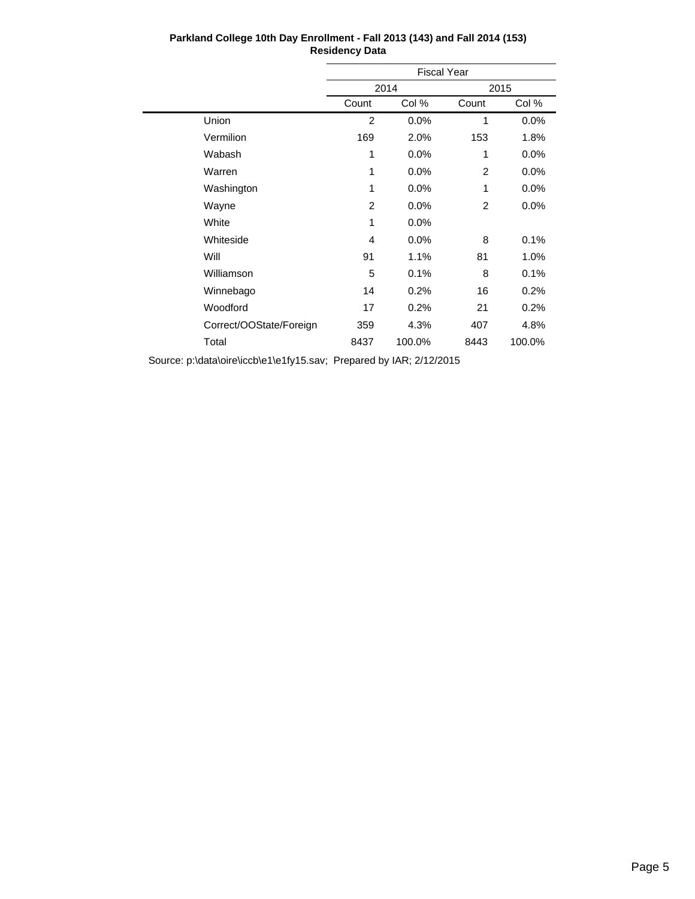|                         | <b>Fiscal Year</b> |        |       |        |  |
|-------------------------|--------------------|--------|-------|--------|--|
|                         |                    | 2014   |       | 2015   |  |
|                         | Count              | Col %  | Count | Col %  |  |
| Union                   | $\overline{2}$     | 0.0%   | 1     | 0.0%   |  |
| Vermilion               | 169                | 2.0%   | 153   | 1.8%   |  |
| Wabash                  | 1                  | 0.0%   | 1     | 0.0%   |  |
| Warren                  | 1                  | 0.0%   | 2     | 0.0%   |  |
| Washington              | 1                  | 0.0%   | 1     | 0.0%   |  |
| Wayne                   | 2                  | 0.0%   | 2     | 0.0%   |  |
| White                   | 1                  | 0.0%   |       |        |  |
| Whiteside               | 4                  | 0.0%   | 8     | 0.1%   |  |
| Will                    | 91                 | 1.1%   | 81    | 1.0%   |  |
| Williamson              | 5                  | 0.1%   | 8     | 0.1%   |  |
| Winnebago               | 14                 | 0.2%   | 16    | 0.2%   |  |
| Woodford                | 17                 | 0.2%   | 21    | 0.2%   |  |
| Correct/OOState/Foreign | 359                | 4.3%   | 407   | 4.8%   |  |
| Total                   | 8437               | 100.0% | 8443  | 100.0% |  |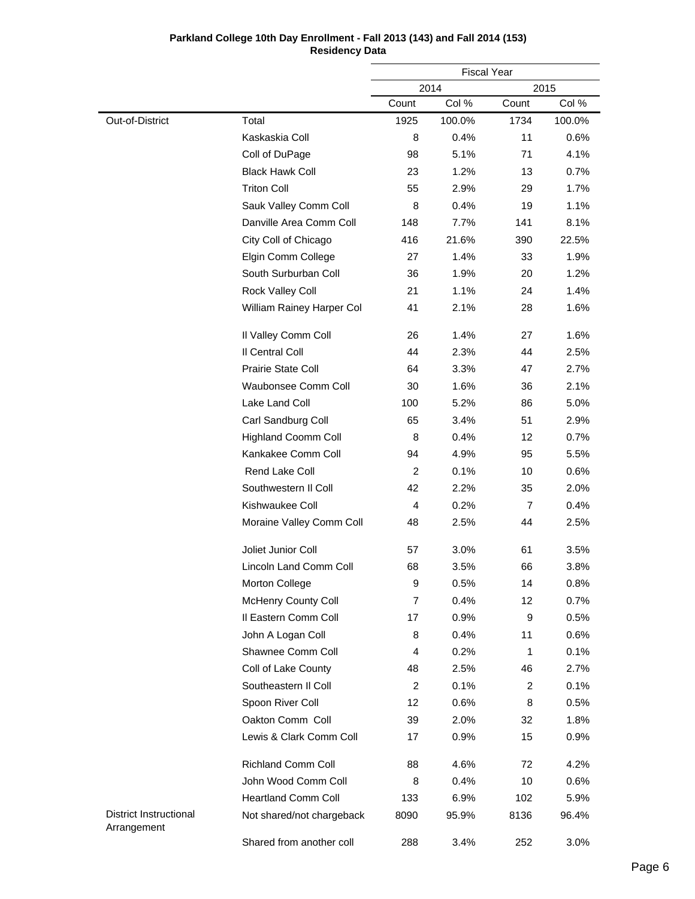| Parkland College 10th Day Enrollment - Fall 2013 (143) and Fall 2014 (153) |
|----------------------------------------------------------------------------|
| <b>Residency Data</b>                                                      |

|                                              |                            |                | <b>Fiscal Year</b> |                |        |
|----------------------------------------------|----------------------------|----------------|--------------------|----------------|--------|
|                                              |                            |                | 2014               |                | 2015   |
|                                              |                            | Count          | Col %              | Count          | Col %  |
| Out-of-District                              | Total                      | 1925           | 100.0%             | 1734           | 100.0% |
|                                              | Kaskaskia Coll             | 8              | 0.4%               | 11             | 0.6%   |
|                                              | Coll of DuPage             | 98             | 5.1%               | 71             | 4.1%   |
|                                              | <b>Black Hawk Coll</b>     | 23             | 1.2%               | 13             | 0.7%   |
|                                              | <b>Triton Coll</b>         | 55             | 2.9%               | 29             | 1.7%   |
|                                              | Sauk Valley Comm Coll      | 8              | 0.4%               | 19             | 1.1%   |
|                                              | Danville Area Comm Coll    | 148            | 7.7%               | 141            | 8.1%   |
|                                              | City Coll of Chicago       | 416            | 21.6%              | 390            | 22.5%  |
|                                              | Elgin Comm College         | 27             | 1.4%               | 33             | 1.9%   |
|                                              | South Surburban Coll       | 36             | 1.9%               | 20             | 1.2%   |
|                                              | Rock Valley Coll           | 21             | 1.1%               | 24             | 1.4%   |
|                                              | William Rainey Harper Col  | 41             | 2.1%               | 28             | 1.6%   |
|                                              | Il Valley Comm Coll        | 26             | 1.4%               | 27             | 1.6%   |
|                                              | Il Central Coll            | 44             | 2.3%               | 44             | 2.5%   |
|                                              | <b>Prairie State Coll</b>  | 64             | 3.3%               | 47             | 2.7%   |
|                                              | Waubonsee Comm Coll        | 30             | 1.6%               | 36             | 2.1%   |
|                                              | Lake Land Coll             | 100            | 5.2%               | 86             | 5.0%   |
|                                              | Carl Sandburg Coll         | 65             | 3.4%               | 51             | 2.9%   |
|                                              | <b>Highland Coomm Coll</b> | 8              | 0.4%               | 12             | 0.7%   |
|                                              | Kankakee Comm Coll         | 94             | 4.9%               | 95             | 5.5%   |
|                                              | Rend Lake Coll             | 2              | 0.1%               | 10             | 0.6%   |
|                                              | Southwestern II Coll       | 42             | 2.2%               | 35             | 2.0%   |
|                                              | Kishwaukee Coll            | $\overline{4}$ | 0.2%               | $\overline{7}$ | 0.4%   |
|                                              | Moraine Valley Comm Coll   | 48             | 2.5%               | 44             | 2.5%   |
|                                              | Joliet Junior Coll         | 57             | 3.0%               | 61             | 3.5%   |
|                                              | Lincoln Land Comm Coll     | 68             | 3.5%               | 66             | 3.8%   |
|                                              | Morton College             | 9              | 0.5%               | 14             | 0.8%   |
|                                              | <b>McHenry County Coll</b> | 7              | 0.4%               | 12             | 0.7%   |
|                                              | Il Eastern Comm Coll       | 17             | 0.9%               | 9              | 0.5%   |
|                                              | John A Logan Coll          | 8              | 0.4%               | 11             | 0.6%   |
|                                              | Shawnee Comm Coll          | 4              | 0.2%               | 1              | 0.1%   |
|                                              | Coll of Lake County        | 48             | 2.5%               | 46             | 2.7%   |
|                                              | Southeastern II Coll       | 2              | 0.1%               | 2              | 0.1%   |
|                                              | Spoon River Coll           | 12             | 0.6%               | 8              | 0.5%   |
|                                              | Oakton Comm Coll           | 39             | 2.0%               | 32             | 1.8%   |
|                                              | Lewis & Clark Comm Coll    | 17             | 0.9%               | 15             | 0.9%   |
|                                              | <b>Richland Comm Coll</b>  | 88             | 4.6%               | 72             | 4.2%   |
|                                              | John Wood Comm Coll        | 8              | 0.4%               | 10             | 0.6%   |
|                                              | <b>Heartland Comm Coll</b> | 133            | 6.9%               | 102            | 5.9%   |
| <b>District Instructional</b><br>Arrangement | Not shared/not chargeback  | 8090           | 95.9%              | 8136           | 96.4%  |
|                                              | Shared from another coll   | 288            | 3.4%               | 252            | 3.0%   |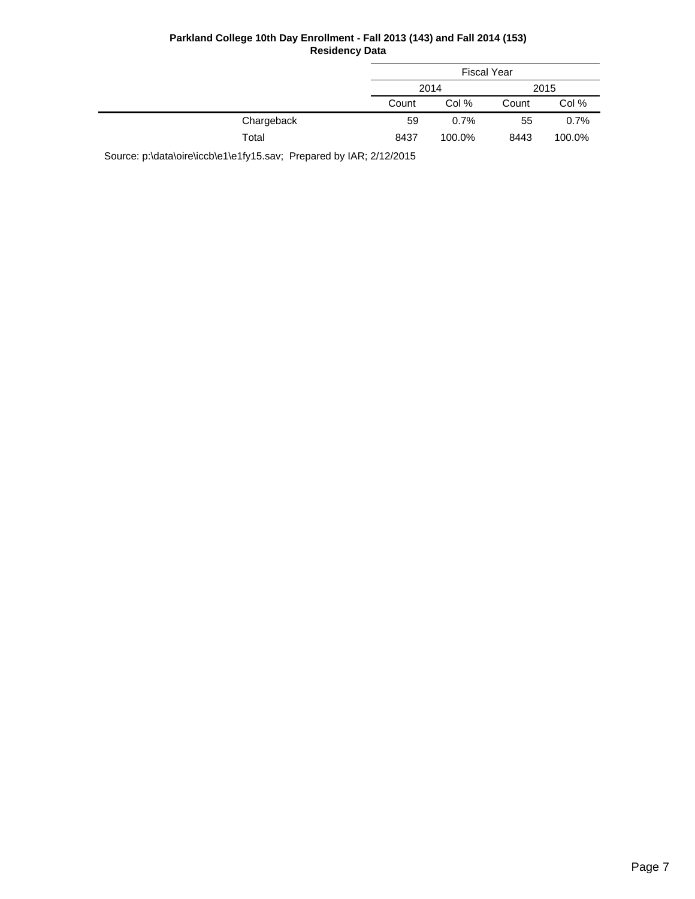|            |       | <b>Fiscal Year</b> |       |        |
|------------|-------|--------------------|-------|--------|
|            |       | 2014               |       | 2015   |
|            | Count | Col %              | Count | Col %  |
| Chargeback | 59    | 0.7%               | 55    | 0.7%   |
| Total      | 8437  | 100.0%             | 8443  | 100.0% |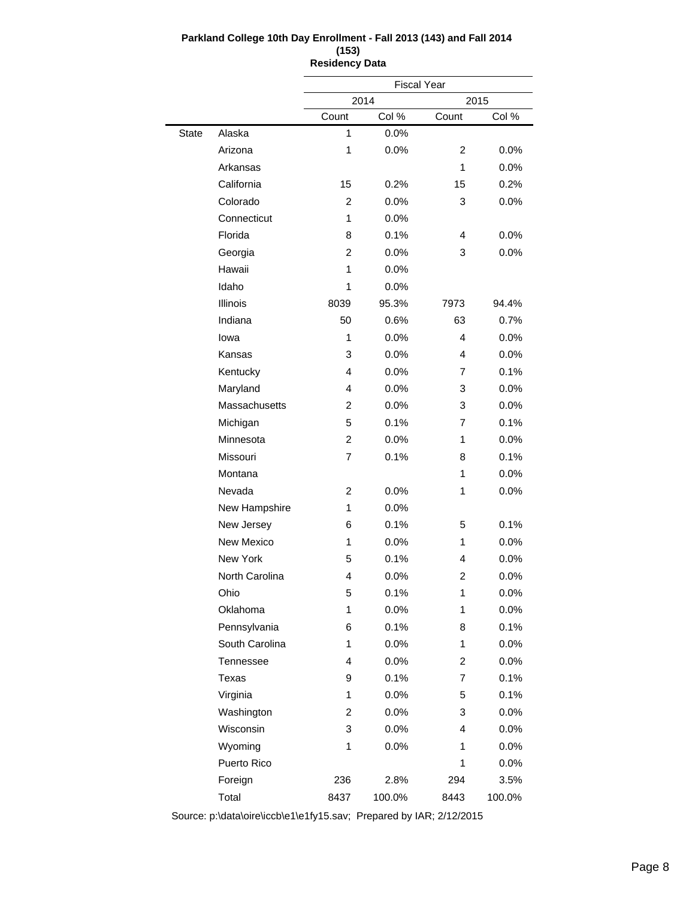|              |                  |                | <b>Fiscal Year</b> |       |        |
|--------------|------------------|----------------|--------------------|-------|--------|
|              |                  |                | 2014               |       | 2015   |
|              |                  | Count          | Col %              | Count | Col %  |
| <b>State</b> | Alaska           | 1              | 0.0%               |       |        |
|              | Arizona          | 1              | 0.0%               | 2     | 0.0%   |
|              | Arkansas         |                |                    | 1     | 0.0%   |
|              | California       | 15             | 0.2%               | 15    | 0.2%   |
|              | Colorado         | $\overline{2}$ | 0.0%               | 3     | 0.0%   |
|              | Connecticut      | 1              | 0.0%               |       |        |
|              | Florida          | 8              | 0.1%               | 4     | 0.0%   |
|              | Georgia          | 2              | 0.0%               | 3     | 0.0%   |
|              | Hawaii           | 1              | 0.0%               |       |        |
|              | Idaho            | 1              | 0.0%               |       |        |
|              | Illinois         | 8039           | 95.3%              | 7973  | 94.4%  |
|              | Indiana          | 50             | 0.6%               | 63    | 0.7%   |
|              | lowa             | 1              | 0.0%               | 4     | 0.0%   |
|              | Kansas           | 3              | 0.0%               | 4     | 0.0%   |
|              | Kentucky         | 4              | 0.0%               | 7     | 0.1%   |
|              | Maryland         | 4              | 0.0%               | 3     | 0.0%   |
|              | Massachusetts    | $\overline{2}$ | 0.0%               | 3     | 0.0%   |
|              | Michigan         | 5              | 0.1%               | 7     | 0.1%   |
|              | Minnesota        | $\overline{2}$ | 0.0%               | 1     | 0.0%   |
|              | Missouri         | 7              | 0.1%               | 8     | 0.1%   |
|              | Montana          |                |                    | 1     | 0.0%   |
|              | Nevada           | 2              | 0.0%               | 1     | 0.0%   |
|              | New Hampshire    | 1              | 0.0%               |       |        |
|              | New Jersey       | 6              | 0.1%               | 5     | 0.1%   |
|              | New Mexico       | 1              | 0.0%               | 1     | 0.0%   |
|              | <b>New York</b>  | 5              | 0.1%               | 4     | 0.0%   |
|              | North Carolina   | 4              | 0.0%               | 2     | 0.0%   |
|              | Ohio             | 5              | 0.1%               | 1     | 0.0%   |
|              | Oklahoma         | 1              | 0.0%               | 1     | 0.0%   |
|              | Pennsylvania     | 6              | 0.1%               | 8     | 0.1%   |
|              | South Carolina   | 1              | 0.0%               | 1     | 0.0%   |
|              | <b>Tennessee</b> | 4              | 0.0%               | 2     | 0.0%   |
|              | Texas            | 9              | 0.1%               | 7     | 0.1%   |
|              | Virginia         | 1              | 0.0%               | 5     | 0.1%   |
|              | Washington       | 2              | 0.0%               | 3     | 0.0%   |
|              | Wisconsin        | 3              | 0.0%               | 4     | 0.0%   |
|              | Wyoming          | 1              | 0.0%               | 1     | 0.0%   |
|              | Puerto Rico      |                |                    | 1     | 0.0%   |
|              | Foreign          | 236            | 2.8%               | 294   | 3.5%   |
|              | Total            | 8437           | 100.0%             | 8443  | 100.0% |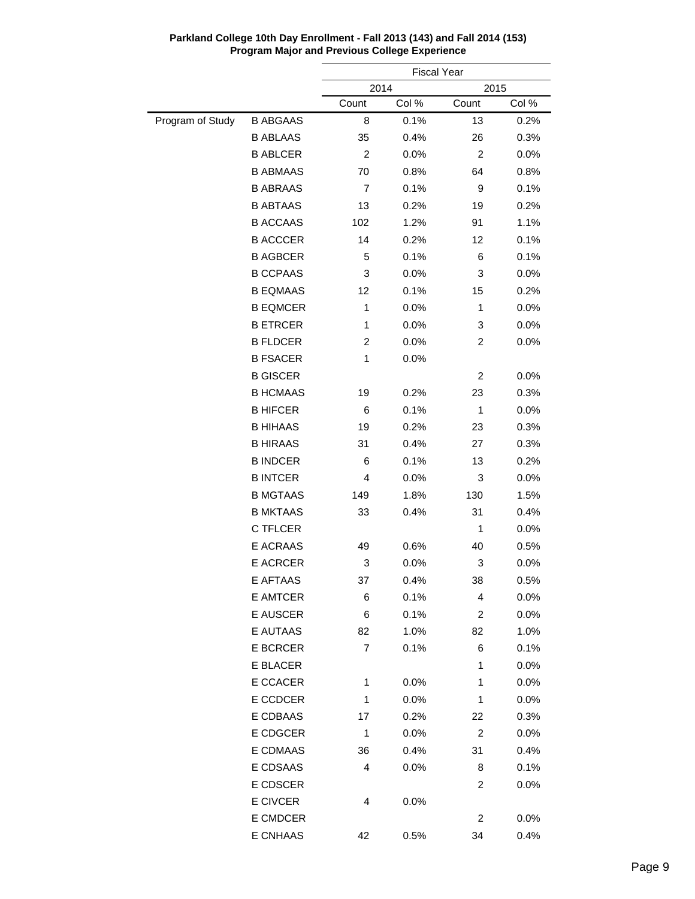|                  |                 |                | <b>Fiscal Year</b> |                |         |  |
|------------------|-----------------|----------------|--------------------|----------------|---------|--|
|                  |                 | 2014           |                    | 2015           |         |  |
|                  |                 | Count          | Col %              | Count          | Col %   |  |
| Program of Study | <b>B ABGAAS</b> | 8              | 0.1%               | 13             | 0.2%    |  |
|                  | <b>B ABLAAS</b> | 35             | 0.4%               | 26             | 0.3%    |  |
|                  | <b>B ABLCER</b> | $\overline{c}$ | 0.0%               | $\overline{c}$ | 0.0%    |  |
|                  | <b>B ABMAAS</b> | 70             | 0.8%               | 64             | 0.8%    |  |
|                  | <b>B ABRAAS</b> | $\overline{7}$ | 0.1%               | 9              | 0.1%    |  |
|                  | <b>B ABTAAS</b> | 13             | 0.2%               | 19             | 0.2%    |  |
|                  | <b>B ACCAAS</b> | 102            | 1.2%               | 91             | 1.1%    |  |
|                  | <b>B ACCCER</b> | 14             | 0.2%               | 12             | 0.1%    |  |
|                  | <b>B AGBCER</b> | 5              | 0.1%               | 6              | 0.1%    |  |
|                  | <b>B CCPAAS</b> | 3              | 0.0%               | 3              | 0.0%    |  |
|                  | <b>B EQMAAS</b> | 12             | 0.1%               | 15             | 0.2%    |  |
|                  | <b>B EQMCER</b> | $\mathbf{1}$   | 0.0%               | 1              | 0.0%    |  |
|                  | <b>B ETRCER</b> | 1              | 0.0%               | 3              | 0.0%    |  |
|                  | <b>B FLDCER</b> | 2              | 0.0%               | 2              | 0.0%    |  |
|                  | <b>B FSACER</b> | 1              | 0.0%               |                |         |  |
|                  | <b>B GISCER</b> |                |                    | 2              | 0.0%    |  |
|                  | <b>B HCMAAS</b> | 19             | 0.2%               | 23             | 0.3%    |  |
|                  | <b>B HIFCER</b> | 6              | 0.1%               | 1              | 0.0%    |  |
|                  | <b>B HIHAAS</b> | 19             | 0.2%               | 23             | 0.3%    |  |
|                  | <b>B HIRAAS</b> | 31             | 0.4%               | 27             | 0.3%    |  |
|                  | <b>B INDCER</b> | 6              | 0.1%               | 13             | 0.2%    |  |
|                  | <b>B INTCER</b> | 4              | 0.0%               | 3              | 0.0%    |  |
|                  | <b>B MGTAAS</b> | 149            | 1.8%               | 130            | 1.5%    |  |
|                  | <b>B MKTAAS</b> | 33             | 0.4%               | 31             | 0.4%    |  |
|                  | C TFLCER        |                |                    | 1              | 0.0%    |  |
|                  | <b>E ACRAAS</b> | 49             | 0.6%               | 40             | 0.5%    |  |
|                  | <b>E ACRCER</b> | 3              | 0.0%               | 3              | 0.0%    |  |
|                  | E AFTAAS        | 37             | 0.4%               | 38             | $0.5\%$ |  |
|                  | E AMTCER        | 6              | 0.1%               | 4              | 0.0%    |  |
|                  | E AUSCER        | 6              | 0.1%               | 2              | 0.0%    |  |
|                  | E AUTAAS        | 82             | 1.0%               | 82             | 1.0%    |  |
|                  | E BCRCER        | $\overline{7}$ | 0.1%               | 6              | 0.1%    |  |
|                  | E BLACER        |                |                    | 1              | 0.0%    |  |
|                  | E CCACER        | 1              | 0.0%               | 1              | 0.0%    |  |
|                  | E CCDCER        | 1              | 0.0%               | 1              | 0.0%    |  |
|                  | E CDBAAS        | 17             | 0.2%               | 22             | 0.3%    |  |
|                  | E CDGCER        | $\mathbf{1}$   | 0.0%               | 2              | 0.0%    |  |
|                  | E CDMAAS        | 36             | 0.4%               | 31             | 0.4%    |  |
|                  | E CDSAAS        | 4              | $0.0\%$            | 8              | 0.1%    |  |
|                  | E CDSCER        |                |                    | 2              | 0.0%    |  |
|                  | E CIVCER        | 4              | 0.0%               |                |         |  |
|                  | E CMDCER        |                |                    |                |         |  |
|                  |                 |                |                    | 2              | 0.0%    |  |
|                  | E CNHAAS        | 42             | 0.5%               | 34             | 0.4%    |  |

**Parkland College 10th Day Enrollment - Fall 2013 (143) and Fall 2014 (153) Program Major and Previous College Experience**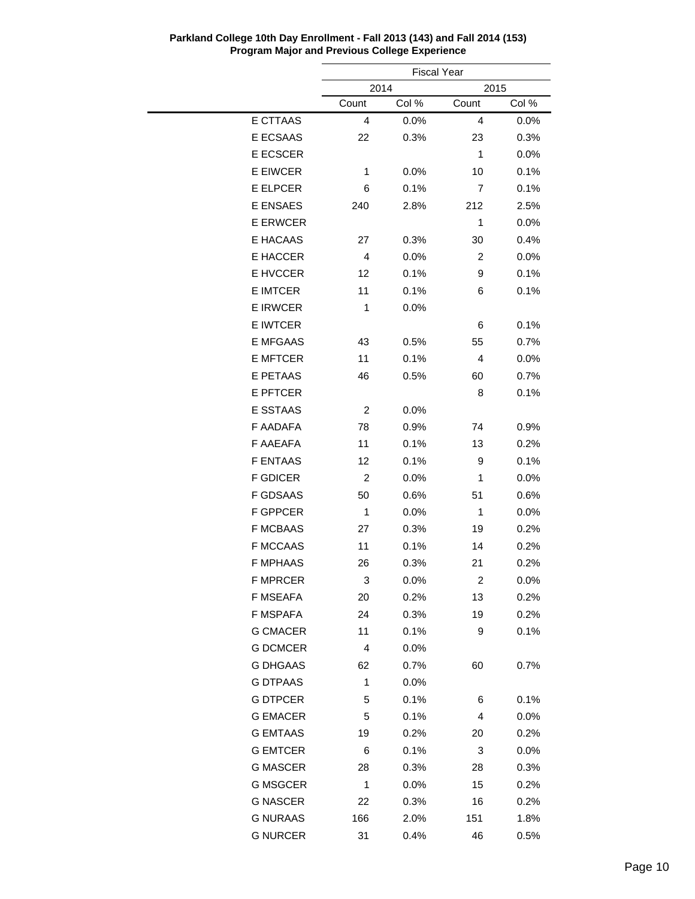|                 |              | <b>Fiscal Year</b> |       |       |
|-----------------|--------------|--------------------|-------|-------|
|                 |              | 2014<br>2015       |       |       |
|                 | Count        | Col %              | Count | Col % |
| E CTTAAS        | 4            | 0.0%               | 4     | 0.0%  |
| E ECSAAS        | 22           | 0.3%               | 23    | 0.3%  |
| <b>E ECSCER</b> |              |                    | 1     | 0.0%  |
| <b>E EIWCER</b> | 1            | 0.0%               | 10    | 0.1%  |
| <b>E ELPCER</b> | 6            | 0.1%               | 7     | 0.1%  |
| <b>E ENSAES</b> | 240          | 2.8%               | 212   | 2.5%  |
| <b>E ERWCER</b> |              |                    | 1     | 0.0%  |
| E HACAAS        | 27           | 0.3%               | 30    | 0.4%  |
| E HACCER        | 4            | 0.0%               | 2     | 0.0%  |
| E HVCCER        | 12           | 0.1%               | 9     | 0.1%  |
| <b>E IMTCER</b> | 11           | 0.1%               | 6     | 0.1%  |
| <b>E IRWCER</b> | 1            | $0.0\%$            |       |       |
| <b>E IWTCER</b> |              |                    | 6     | 0.1%  |
| <b>E MFGAAS</b> | 43           | 0.5%               | 55    | 0.7%  |
| <b>E MFTCER</b> | 11           | 0.1%               | 4     | 0.0%  |
| <b>E PETAAS</b> | 46           | 0.5%               | 60    | 0.7%  |
| <b>E PFTCER</b> |              |                    | 8     | 0.1%  |
| <b>E SSTAAS</b> | 2            | 0.0%               |       |       |
| F AADAFA        | 78           | 0.9%               | 74    | 0.9%  |
| F AAEAFA        | 11           | 0.1%               | 13    | 0.2%  |
| <b>F ENTAAS</b> | 12           | 0.1%               | 9     | 0.1%  |
| <b>F GDICER</b> | 2            | 0.0%               | 1     | 0.0%  |
| F GDSAAS        | 50           | 0.6%               | 51    | 0.6%  |
| <b>F GPPCER</b> | 1            | 0.0%               | 1     | 0.0%  |
| <b>F MCBAAS</b> | 27           | 0.3%               | 19    | 0.2%  |
| <b>F MCCAAS</b> | 11           | 0.1%               | 14    | 0.2%  |
| <b>F MPHAAS</b> | 26           | 0.3%               | 21    | 0.2%  |
| <b>F MPRCER</b> | 3            | 0.0%               | 2     | 0.0%  |
| F MSEAFA        | 20           | 0.2%               | 13    | 0.2%  |
| F MSPAFA        | 24           | 0.3%               | 19    | 0.2%  |
| <b>G CMACER</b> | 11           | 0.1%               | 9     | 0.1%  |
| <b>G DCMCER</b> | 4            | 0.0%               |       |       |
| <b>G DHGAAS</b> | 62           | 0.7%               | 60    | 0.7%  |
| <b>G DTPAAS</b> | $\mathbf{1}$ | 0.0%               |       |       |
| <b>G DTPCER</b> | 5            | 0.1%               | 6     | 0.1%  |
| <b>G EMACER</b> | 5            | 0.1%               | 4     | 0.0%  |
| <b>G EMTAAS</b> | 19           | 0.2%               | 20    | 0.2%  |
| <b>G EMTCER</b> | 6            | 0.1%               | 3     | 0.0%  |
| <b>G MASCER</b> | 28           | 0.3%               | 28    | 0.3%  |
| <b>G MSGCER</b> | 1            |                    |       |       |
|                 |              | 0.0%               | 15    | 0.2%  |
| <b>G NASCER</b> | 22           | 0.3%               | 16    | 0.2%  |
| <b>G NURAAS</b> | 166          | 2.0%               | 151   | 1.8%  |
| <b>G NURCER</b> | 31           | 0.4%               | 46    | 0.5%  |

**Parkland College 10th Day Enrollment - Fall 2013 (143) and Fall 2014 (153) Program Major and Previous College Experience**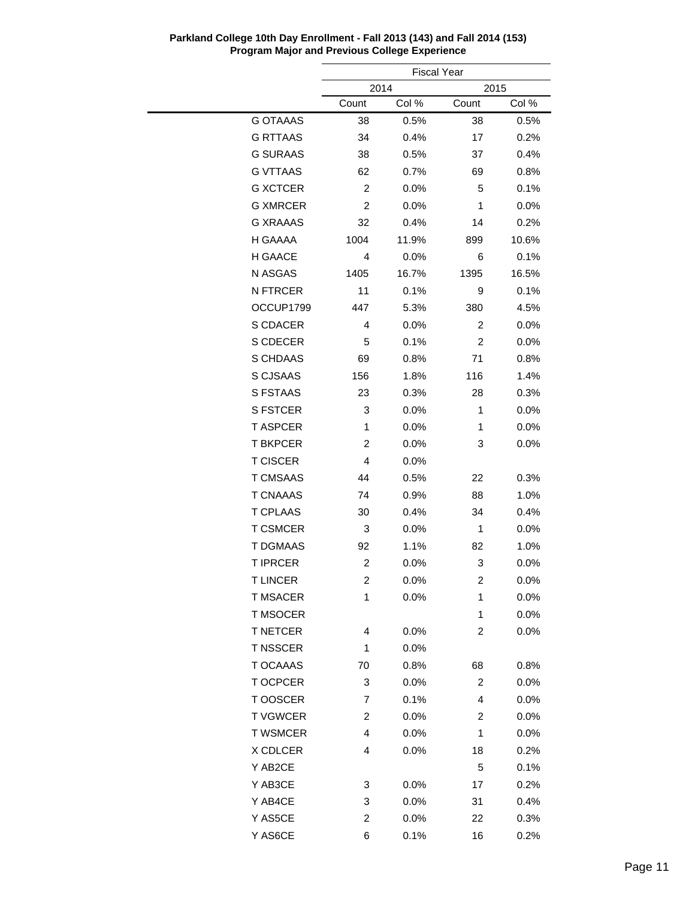|                 | <b>Fiscal Year</b>      |              |                |         |  |  |
|-----------------|-------------------------|--------------|----------------|---------|--|--|
|                 |                         | 2014<br>2015 |                |         |  |  |
|                 | Count                   | Col %        | Count          | Col %   |  |  |
| <b>G OTAAAS</b> | 38                      | 0.5%         | 38             | 0.5%    |  |  |
| <b>G RTTAAS</b> | 34                      | 0.4%         | 17             | 0.2%    |  |  |
| <b>G SURAAS</b> | 38                      | 0.5%         | 37             | 0.4%    |  |  |
| <b>G VTTAAS</b> | 62                      | 0.7%         | 69             | 0.8%    |  |  |
| <b>G XCTCER</b> | $\overline{c}$          | 0.0%         | 5              | 0.1%    |  |  |
| <b>G XMRCER</b> | 2                       | 0.0%         | 1              | 0.0%    |  |  |
| <b>G XRAAAS</b> | 32                      | 0.4%         | 14             | 0.2%    |  |  |
| H GAAAA         | 1004                    | 11.9%        | 899            | 10.6%   |  |  |
| H GAACE         | 4                       | 0.0%         | 6              | 0.1%    |  |  |
| N ASGAS         | 1405                    | 16.7%        | 1395           | 16.5%   |  |  |
| N FTRCER        | 11                      | 0.1%         | 9              | 0.1%    |  |  |
| OCCUP1799       | 447                     | 5.3%         | 380            | 4.5%    |  |  |
| S CDACER        | 4                       | 0.0%         | 2              | 0.0%    |  |  |
| S CDECER        | 5                       | 0.1%         | 2              | 0.0%    |  |  |
| S CHDAAS        | 69                      | 0.8%         | 71             | 0.8%    |  |  |
| S CJSAAS        | 156                     | 1.8%         | 116            | 1.4%    |  |  |
| S FSTAAS        | 23                      | 0.3%         | 28             | 0.3%    |  |  |
| <b>S FSTCER</b> | 3                       | 0.0%         | 1              | 0.0%    |  |  |
| <b>T ASPCER</b> | 1                       | 0.0%         | 1              | 0.0%    |  |  |
| <b>T BKPCER</b> | 2                       | 0.0%         | 3              | 0.0%    |  |  |
| <b>T CISCER</b> | $\overline{4}$          | 0.0%         |                |         |  |  |
| <b>T CMSAAS</b> | 44                      | 0.5%         | 22             | 0.3%    |  |  |
| <b>T CNAAAS</b> | 74                      | 0.9%         | 88             | 1.0%    |  |  |
| <b>T CPLAAS</b> | 30                      | 0.4%         | 34             | 0.4%    |  |  |
| <b>T CSMCER</b> | 3                       | 0.0%         | 1              | 0.0%    |  |  |
| <b>T DGMAAS</b> | 92                      | 1.1%         | 82             | 1.0%    |  |  |
| <b>T IPRCER</b> | $\overline{\mathbf{c}}$ | 0.0%         | 3              | 0.0%    |  |  |
| T LINCER        | 2                       | $0.0\%$      | 2              | $0.0\%$ |  |  |
| <b>T MSACER</b> | 1                       | 0.0%         | 1              | 0.0%    |  |  |
| <b>T MSOCER</b> |                         |              | 1              | 0.0%    |  |  |
| <b>T NETCER</b> | 4                       | 0.0%         | 2              | 0.0%    |  |  |
| <b>T NSSCER</b> | 1                       | 0.0%         |                |         |  |  |
| T OCAAAS        | 70                      | 0.8%         | 68             | 0.8%    |  |  |
| T OCPCER        | 3                       | 0.0%         | $\overline{c}$ | 0.0%    |  |  |
| T OOSCER        | 7                       | 0.1%         | 4              | 0.0%    |  |  |
| <b>TVGWCER</b>  | 2                       | 0.0%         | 2              | 0.0%    |  |  |
| <b>T WSMCER</b> | 4                       | 0.0%         | 1              | 0.0%    |  |  |
| X CDLCER        | 4                       | 0.0%         | 18             | 0.2%    |  |  |
| Y AB2CE         |                         |              | 5              | 0.1%    |  |  |
| Y AB3CE         | 3                       | 0.0%         | 17             | 0.2%    |  |  |
| Y AB4CE         | 3                       | 0.0%         | 31             | 0.4%    |  |  |
| Y AS5CE         | 2                       | 0.0%         | 22             | 0.3%    |  |  |
| Y AS6CE         | 6                       | 0.1%         | 16             | 0.2%    |  |  |

**Parkland College 10th Day Enrollment - Fall 2013 (143) and Fall 2014 (153) Program Major and Previous College Experience**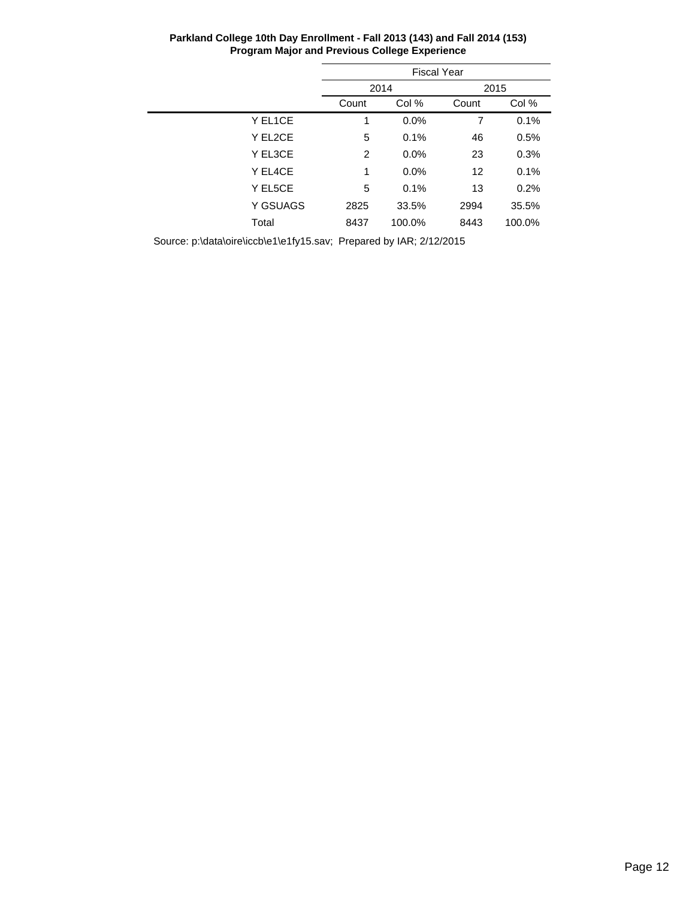|          | <b>Fiscal Year</b>      |        |      |        |  |  |
|----------|-------------------------|--------|------|--------|--|--|
|          |                         | 2014   |      | 2015   |  |  |
|          | Col %<br>Count<br>Count |        |      | Col %  |  |  |
| Y EL1CE  | 1                       | 0.0%   | 7    | 0.1%   |  |  |
| Y EL2CE  | 5                       | 0.1%   | 46   | 0.5%   |  |  |
| Y EL3CE  | 2                       | 0.0%   | 23   | 0.3%   |  |  |
| Y EL4CE  | 1                       | 0.0%   | 12   | 0.1%   |  |  |
| Y EL5CE  | 5                       | 0.1%   | 13   | 0.2%   |  |  |
| Y GSUAGS | 2825                    | 33.5%  | 2994 | 35.5%  |  |  |
| Total    | 8437                    | 100.0% | 8443 | 100.0% |  |  |
|          |                         |        |      |        |  |  |

**Parkland College 10th Day Enrollment - Fall 2013 (143) and Fall 2014 (153) Program Major and Previous College Experience**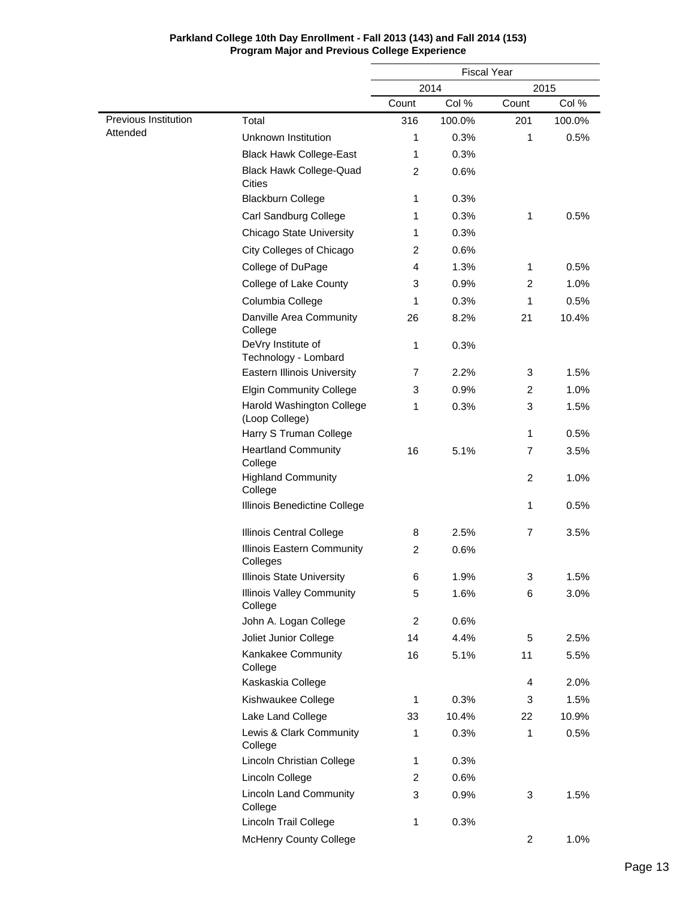|                      |                                               | <b>Fiscal Year</b> |        |              |        |  |
|----------------------|-----------------------------------------------|--------------------|--------|--------------|--------|--|
|                      |                                               | 2014<br>2015       |        |              |        |  |
|                      |                                               | Count              | Col %  | Count        | Col %  |  |
| Previous Institution | Total                                         | 316                | 100.0% | 201          | 100.0% |  |
| Attended             | Unknown Institution                           | 1                  | 0.3%   | 1            | 0.5%   |  |
|                      | <b>Black Hawk College-East</b>                | 1                  | 0.3%   |              |        |  |
|                      | <b>Black Hawk College-Quad</b><br>Cities      | $\overline{c}$     | 0.6%   |              |        |  |
|                      | <b>Blackburn College</b>                      | 1                  | 0.3%   |              |        |  |
|                      | Carl Sandburg College                         | 1                  | 0.3%   | 1            | 0.5%   |  |
|                      | <b>Chicago State University</b>               | 1                  | 0.3%   |              |        |  |
|                      | City Colleges of Chicago                      | $\overline{c}$     | 0.6%   |              |        |  |
|                      | College of DuPage                             | 4                  | 1.3%   | 1            | 0.5%   |  |
|                      | College of Lake County                        | 3                  | 0.9%   | 2            | 1.0%   |  |
|                      | Columbia College                              | 1                  | 0.3%   | 1            | 0.5%   |  |
|                      | Danville Area Community<br>College            | 26                 | 8.2%   | 21           | 10.4%  |  |
|                      | DeVry Institute of<br>Technology - Lombard    | 1                  | 0.3%   |              |        |  |
|                      | <b>Eastern Illinois University</b>            | 7                  | 2.2%   | 3            | 1.5%   |  |
|                      | <b>Elgin Community College</b>                | 3                  | 0.9%   | 2            | 1.0%   |  |
|                      | Harold Washington College<br>(Loop College)   | 1                  | 0.3%   | 3            | 1.5%   |  |
|                      | Harry S Truman College                        |                    |        | 1            | 0.5%   |  |
|                      | <b>Heartland Community</b><br>College         | 16                 | 5.1%   | 7            | 3.5%   |  |
|                      | <b>Highland Community</b><br>College          |                    |        | 2            | 1.0%   |  |
|                      | Illinois Benedictine College                  |                    |        | 1            | 0.5%   |  |
|                      | Illinois Central College                      | 8                  | 2.5%   | 7            | 3.5%   |  |
|                      | <b>Illinois Eastern Community</b><br>Colleges | 2                  | 0.6%   |              |        |  |
|                      | <b>Illinois State University</b>              | 6                  | 1.9%   | 3            | 1.5%   |  |
|                      | <b>Illinois Valley Community</b><br>College   | 5                  | 1.6%   | 6            | 3.0%   |  |
|                      | John A. Logan College                         | 2                  | 0.6%   |              |        |  |
|                      | Joliet Junior College                         | 14                 | 4.4%   | 5            | 2.5%   |  |
|                      | Kankakee Community<br>College                 | 16                 | 5.1%   | 11           | 5.5%   |  |
|                      | Kaskaskia College                             |                    |        | 4            | 2.0%   |  |
|                      | Kishwaukee College                            | 1                  | 0.3%   | 3            | 1.5%   |  |
|                      | Lake Land College                             | 33                 | 10.4%  | 22           | 10.9%  |  |
|                      | Lewis & Clark Community<br>College            | 1                  | 0.3%   | $\mathbf{1}$ | 0.5%   |  |
|                      | Lincoln Christian College                     | 1                  | 0.3%   |              |        |  |
|                      | Lincoln College                               | $\overline{2}$     | 0.6%   |              |        |  |
|                      | <b>Lincoln Land Community</b><br>College      | 3                  | 0.9%   | 3            | 1.5%   |  |
|                      | Lincoln Trail College                         | 1                  | 0.3%   |              |        |  |
|                      | <b>McHenry County College</b>                 |                    |        | 2            | 1.0%   |  |

### **Parkland College 10th Day Enrollment - Fall 2013 (143) and Fall 2014 (153) Program Major and Previous College Experience**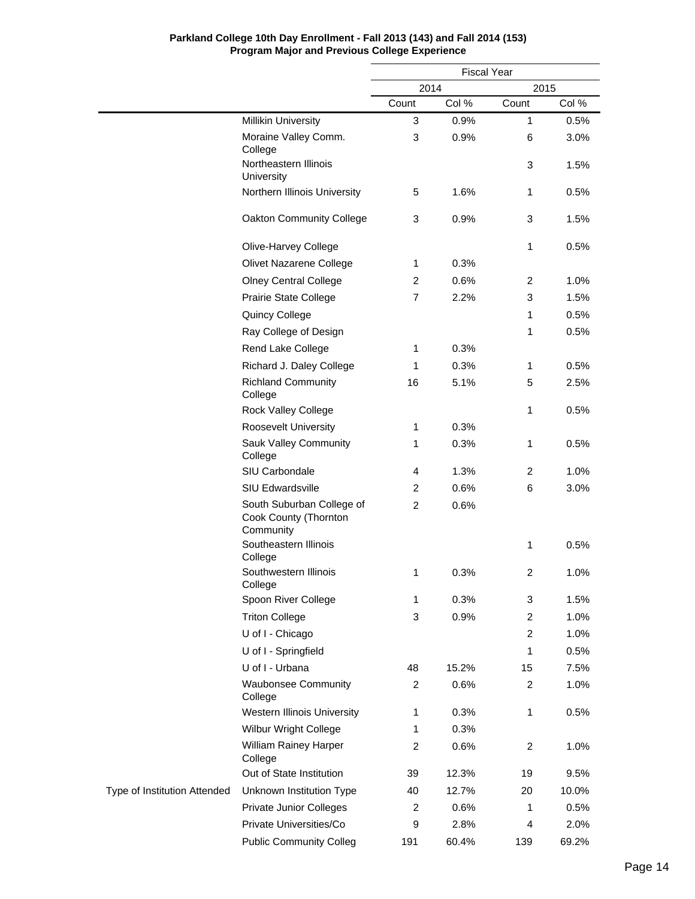|                              |                                                                 | <b>Fiscal Year</b>      |       |                         |       |
|------------------------------|-----------------------------------------------------------------|-------------------------|-------|-------------------------|-------|
|                              |                                                                 | 2014                    |       | 2015                    |       |
|                              |                                                                 | Count                   | Col % | Count                   | Col % |
|                              | <b>Millikin University</b>                                      | 3                       | 0.9%  | 1                       | 0.5%  |
|                              | Moraine Valley Comm.<br>College                                 | 3                       | 0.9%  | 6                       | 3.0%  |
|                              | Northeastern Illinois<br>University                             |                         |       | 3                       | 1.5%  |
|                              | Northern Illinois University                                    | 5                       | 1.6%  | 1                       | 0.5%  |
|                              | Oakton Community College                                        | 3                       | 0.9%  | 3                       | 1.5%  |
|                              | Olive-Harvey College                                            |                         |       | 1                       | 0.5%  |
|                              | Olivet Nazarene College                                         | 1                       | 0.3%  |                         |       |
|                              | <b>Olney Central College</b>                                    | $\overline{c}$          | 0.6%  | 2                       | 1.0%  |
|                              | Prairie State College                                           | $\overline{7}$          | 2.2%  | 3                       | 1.5%  |
|                              | Quincy College                                                  |                         |       | 1                       | 0.5%  |
|                              | Ray College of Design                                           |                         |       | 1                       | 0.5%  |
|                              | Rend Lake College                                               | 1                       | 0.3%  |                         |       |
|                              | Richard J. Daley College                                        | 1                       | 0.3%  | 1                       | 0.5%  |
|                              | <b>Richland Community</b><br>College                            | 16                      | 5.1%  | 5                       | 2.5%  |
|                              | Rock Valley College                                             |                         |       | 1                       | 0.5%  |
|                              | <b>Roosevelt University</b>                                     | 1                       | 0.3%  |                         |       |
|                              | Sauk Valley Community<br>College                                | 1                       | 0.3%  | 1                       | 0.5%  |
|                              | SIU Carbondale                                                  | $\overline{4}$          | 1.3%  | $\overline{c}$          | 1.0%  |
|                              | SIU Edwardsville                                                | $\overline{c}$          | 0.6%  | 6                       | 3.0%  |
|                              | South Suburban College of<br>Cook County (Thornton<br>Community | $\overline{2}$          | 0.6%  |                         |       |
|                              | Southeastern Illinois<br>College                                |                         |       | 1                       | 0.5%  |
|                              | Southwestern Illinois<br>College                                | $\mathbf{1}$            | 0.3%  | 2                       | 1.0%  |
|                              | Spoon River College                                             | 1                       | 0.3%  | 3                       | 1.5%  |
|                              | <b>Triton College</b>                                           | 3                       | 0.9%  | $\overline{\mathbf{c}}$ | 1.0%  |
|                              | U of I - Chicago                                                |                         |       | $\overline{c}$          | 1.0%  |
|                              | U of I - Springfield                                            |                         |       | 1                       | 0.5%  |
|                              | U of I - Urbana                                                 | 48                      | 15.2% | 15                      | 7.5%  |
|                              | <b>Waubonsee Community</b><br>College                           | $\overline{c}$          | 0.6%  | $\overline{\mathbf{c}}$ | 1.0%  |
|                              | Western Illinois University                                     | 1                       | 0.3%  | 1                       | 0.5%  |
|                              | Wilbur Wright College                                           | 1                       | 0.3%  |                         |       |
|                              | William Rainey Harper<br>College                                | $\overline{\mathbf{c}}$ | 0.6%  | 2                       | 1.0%  |
|                              | Out of State Institution                                        | 39                      | 12.3% | 19                      | 9.5%  |
| Type of Institution Attended | Unknown Institution Type                                        | 40                      | 12.7% | 20                      | 10.0% |
|                              | <b>Private Junior Colleges</b>                                  | 2                       | 0.6%  | 1                       | 0.5%  |
|                              | Private Universities/Co                                         | 9                       | 2.8%  | 4                       | 2.0%  |
|                              | <b>Public Community Colleg</b>                                  | 191                     | 60.4% | 139                     | 69.2% |

### **Parkland College 10th Day Enrollment - Fall 2013 (143) and Fall 2014 (153) Program Major and Previous College Experience**